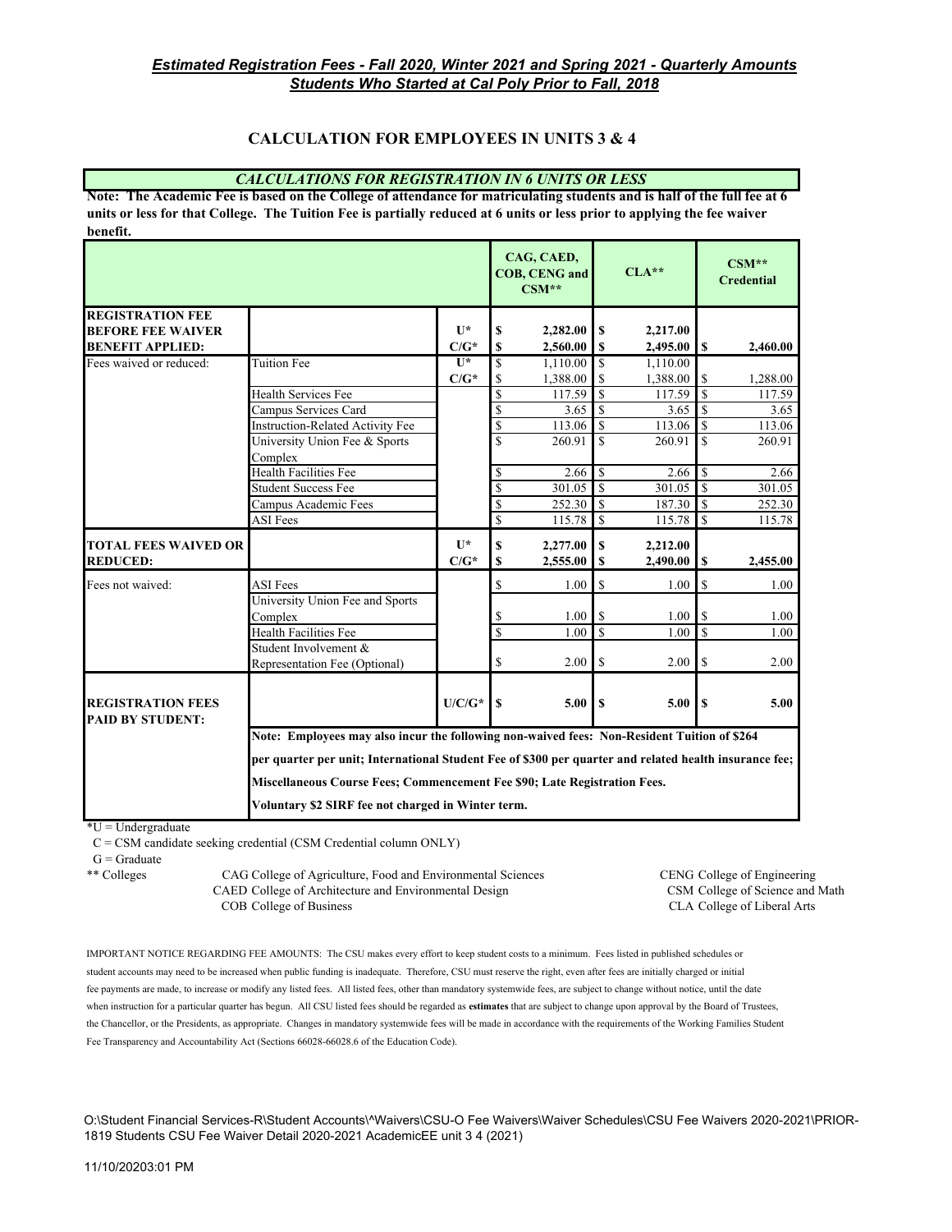# **CALCULATION FOR EMPLOYEES IN UNITS 3 & 4**

#### *CALCULATIONS FOR REGISTRATION IN 6 UNITS OR LESS*

**Note: The Academic Fee is based on the College of attendance for matriculating students and is half of the full fee at 6 units or less for that College. The Tuition Fee is partially reduced at 6 units or less prior to applying the fee waiver benefit.**

|                                                     |                                                                                                        |                |                          | CAG, CAED,<br><b>COB, CENG and</b><br>$CSM**$ |                         | $CLA**$     |                | $CSM**$<br><b>Credential</b> |  |
|-----------------------------------------------------|--------------------------------------------------------------------------------------------------------|----------------|--------------------------|-----------------------------------------------|-------------------------|-------------|----------------|------------------------------|--|
| <b>REGISTRATION FEE</b>                             |                                                                                                        |                |                          |                                               |                         |             |                |                              |  |
| <b>BEFORE FEE WAIVER</b>                            |                                                                                                        | $\mathbf{I}$   | S                        | 2,282.00                                      | \$                      | 2,217.00    |                |                              |  |
| <b>BENEFIT APPLIED:</b>                             |                                                                                                        | $C/G^*$        | <b>S</b>                 | 2,560.00                                      | \$                      | 2,495.00    | l \$           | 2.460.00                     |  |
| Fees waived or reduced:                             | <b>Tuition Fee</b>                                                                                     | $\overline{1}$ | <sup>\$</sup>            | 1,110.00                                      | \$                      | 1,110.00    |                |                              |  |
|                                                     |                                                                                                        | $C/G^*$        | \$                       | 1,388.00                                      | <sup>\$</sup>           | 1,388.00    | \$.            | 1,288.00                     |  |
|                                                     | <b>Health Services Fee</b>                                                                             |                | \$                       | 117.59                                        | $\overline{\mathbb{S}}$ | 117.59      | $\mathbf S$    | 117.59                       |  |
|                                                     | Campus Services Card                                                                                   |                | $\overline{\mathcal{S}}$ | 3.65                                          | $\overline{\mathbf{s}}$ | 3.65        | <sup>\$</sup>  | 3.65                         |  |
|                                                     | <b>Instruction-Related Activity Fee</b>                                                                |                | $\overline{\mathcal{S}}$ | 113.06                                        | <sup>\$</sup>           | 113.06      | <sup>\$</sup>  | 113.06                       |  |
|                                                     | University Union Fee & Sports                                                                          |                | \$                       | 260.91                                        | $\mathbf{\hat{S}}$      | 260.91      | \$             | 260.91                       |  |
|                                                     | Complex                                                                                                |                |                          |                                               |                         |             |                |                              |  |
|                                                     | Health Facilities Fee                                                                                  |                | \$                       | 2.66                                          | \$                      | 2.66        | <sup>\$</sup>  | 2.66                         |  |
|                                                     | <b>Student Success Fee</b>                                                                             |                | \$                       | 301.05                                        | $\mathbf S$             | 301.05      | $\mathbf{I}$ s | 301.05                       |  |
|                                                     | Campus Academic Fees                                                                                   |                | \$                       | 252.30                                        | \$.                     | 187.30      | <sup>\$</sup>  | 252.30                       |  |
|                                                     | <b>ASI</b> Fees                                                                                        |                | $\overline{\mathbb{S}}$  | 115.78                                        | S                       | $115.78$ \$ |                | 115.78                       |  |
| <b>TOTAL FEES WAIVED OR</b>                         |                                                                                                        | $\mathbf{U}^*$ | $\mathbf S$              | 2,277.00                                      | \$                      | 2,212.00    |                |                              |  |
| <b>REDUCED:</b>                                     |                                                                                                        | $C/G^*$        | $\mathbf S$              | 2,555.00                                      | S                       | 2,490.00    | $\mathbf S$    | 2,455.00                     |  |
| Fees not waived:                                    | <b>ASI</b> Fees                                                                                        |                | \$                       | 1.00                                          | \$                      | 1.00        | \$             | 1.00                         |  |
|                                                     | University Union Fee and Sports                                                                        |                |                          |                                               |                         |             |                |                              |  |
|                                                     | Complex                                                                                                |                | S                        | 1.00                                          | \$                      | 1.00        | \$             | 1.00                         |  |
|                                                     | <b>Health Facilities Fee</b>                                                                           |                | $\overline{\mathcal{S}}$ | 1.00                                          | $\overline{\mathbf{s}}$ | 1.00        | <sup>\$</sup>  | 1.00                         |  |
|                                                     | Student Involvement &<br>Representation Fee (Optional)                                                 |                | \$                       | 2.00                                          | \$                      | 2.00        | $\mathbb{S}$   | 2.00                         |  |
| <b>REGISTRATION FEES</b><br><b>PAID BY STUDENT:</b> |                                                                                                        | $U/C/G^*$      | $\mathbf{s}$             | 5.00                                          | S                       | 5.00        | <sup>\$</sup>  | 5.00                         |  |
|                                                     | Note: Employees may also incur the following non-waived fees: Non-Resident Tuition of \$264            |                |                          |                                               |                         |             |                |                              |  |
|                                                     | per quarter per unit; International Student Fee of \$300 per quarter and related health insurance fee; |                |                          |                                               |                         |             |                |                              |  |
|                                                     | Miscellaneous Course Fees; Commencement Fee \$90; Late Registration Fees.                              |                |                          |                                               |                         |             |                |                              |  |
|                                                     | Voluntary \$2 SIRF fee not charged in Winter term.                                                     |                |                          |                                               |                         |             |                |                              |  |

 $*U =$ Undergraduate

 $C = CSM$  candidate seeking credential (CSM Credential column ONLY)

 $G =$ Graduate

\*\* Colleges CAG College of Agriculture, Food and Environmental Sciences CENG College of Engineering CAED College of Architecture and Environmental Design CSM College of Science and Math COB College of Business CLA College of Liberal Arts

IMPORTANT NOTICE REGARDING FEE AMOUNTS: The CSU makes every effort to keep student costs to a minimum. Fees listed in published schedules or student accounts may need to be increased when public funding is inadequate. Therefore, CSU must reserve the right, even after fees are initially charged or initial fee payments are made, to increase or modify any listed fees. All listed fees, other than mandatory systemwide fees, are subject to change without notice, until the date when instruction for a particular quarter has begun. All CSU listed fees should be regarded as **estimates** that are subject to change upon approval by the Board of Trustees, the Chancellor, or the Presidents, as appropriate. Changes in mandatory systemwide fees will be made in accordance with the requirements of the Working Families Student Fee Transparency and Accountability Act (Sections 66028-66028.6 of the Education Code).

O:\Student Financial Services-R\Student Accounts\^Waivers\CSU-O Fee Waivers\Waiver Schedules\CSU Fee Waivers 2020-2021\PRIOR-1819 Students CSU Fee Waiver Detail 2020-2021 AcademicEE unit 3 4 (2021)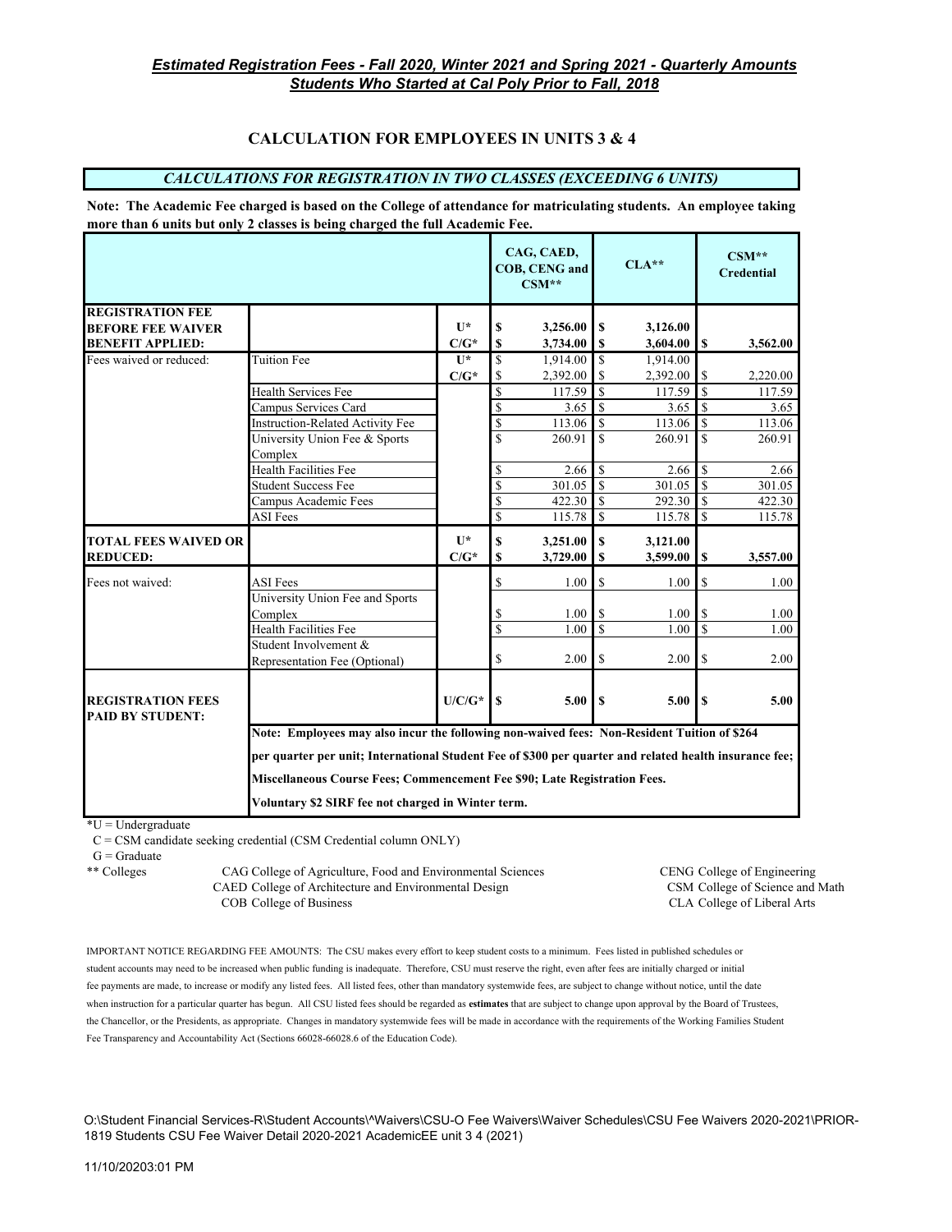# **CALCULATION FOR EMPLOYEES IN UNITS 3 & 4**

## *CALCULATIONS FOR REGISTRATION IN TWO CLASSES (EXCEEDING 6 UNITS)*

**Note: The Academic Fee charged is based on the College of attendance for matriculating students. An employee taking more than 6 units but only 2 classes is being charged the full Academic Fee.**

|                                                     |                                                                                                        |                           |                         | CAG, CAED,<br><b>COB, CENG and</b><br>$CSM**$ |                         | $CLA**$              |                         | $CSM**$<br><b>Credential</b> |  |
|-----------------------------------------------------|--------------------------------------------------------------------------------------------------------|---------------------------|-------------------------|-----------------------------------------------|-------------------------|----------------------|-------------------------|------------------------------|--|
| <b>REGISTRATION FEE</b>                             |                                                                                                        |                           |                         |                                               |                         |                      |                         |                              |  |
| <b>BEFORE FEE WAIVER</b>                            |                                                                                                        | $\mathbf{U}^*$            | \$                      | 3,256.00                                      | \$                      | 3,126.00             |                         |                              |  |
| <b>BENEFIT APPLIED:</b>                             |                                                                                                        | $C/G^*$                   | \$                      | 3,734.00                                      | \$                      | 3,604.00             | S                       | 3,562.00                     |  |
| Fees waived or reduced:                             | <b>Tuition Fee</b>                                                                                     | $\mathbf{U}^*$            | \$                      | 1,914.00                                      | <sup>\$</sup>           | 1,914.00             |                         |                              |  |
|                                                     |                                                                                                        | $C/G^*$                   | <sup>\$</sup>           | 2,392.00                                      | S                       | 2,392.00             | S                       | 2,220.00                     |  |
|                                                     | Health Services Fee                                                                                    |                           | \$                      | 117.59                                        | $\mathbf{\hat{S}}$      | 117.59               | $\mathcal{S}$           | 117.59                       |  |
|                                                     | Campus Services Card                                                                                   |                           | \$                      | 3.65                                          | $\mathbf S$             | 3.65                 | $\overline{\mathbf{s}}$ | 3.65                         |  |
|                                                     | <b>Instruction-Related Activity Fee</b>                                                                |                           | \$                      | 113.06                                        | $\overline{\mathbf{S}}$ | 113.06               | $\mathcal{S}$           | 113.06                       |  |
|                                                     | University Union Fee & Sports<br>Complex                                                               |                           | \$                      | 260.91                                        | $\mathbf S$             | 260.91               | $\mathbf S$             | 260.91                       |  |
|                                                     | Health Facilities Fee                                                                                  |                           | \$                      | 2.66                                          | $\mathbf S$             | 2.66                 | $\mathbf{I}$ s          | 2.66                         |  |
|                                                     | <b>Student Success Fee</b>                                                                             |                           | \$                      | 301.05                                        | $\mathbf S$             | 301.05               | $\mathcal{S}$           | 301.05                       |  |
|                                                     | Campus Academic Fees                                                                                   |                           | \$                      | 422.30                                        | $\mathbb S$             | 292.30               | $\mathcal{S}$           | 422.30                       |  |
|                                                     | <b>ASI</b> Fees                                                                                        |                           | $\overline{\mathbb{S}}$ | 115.78                                        | $\mathbb S$             | 115.78               | $\overline{\mathsf{S}}$ | 115.78                       |  |
| <b>TOTAL FEES WAIVED OR</b><br><b>REDUCED:</b>      |                                                                                                        | $\mathbf{U}^*$<br>$C/G^*$ | $\mathbf S$<br>\$       | 3,251.00<br>3,729.00                          | \$<br>\$                | 3,121.00<br>3,599.00 | \$                      | 3,557.00                     |  |
|                                                     |                                                                                                        |                           |                         |                                               |                         |                      |                         |                              |  |
| Fees not waived:                                    | <b>ASI</b> Fees                                                                                        |                           | \$                      | 1.00                                          | \$                      | 1.00                 | S                       | 1.00                         |  |
|                                                     | University Union Fee and Sports                                                                        |                           |                         |                                               |                         |                      |                         |                              |  |
|                                                     | Complex                                                                                                |                           | \$                      | 1.00                                          | \$                      | 1.00                 | S                       | 1.00                         |  |
|                                                     | Health Facilities Fee                                                                                  |                           | \$                      | 1.00                                          | <sup>\$</sup>           | 1.00                 | \$                      | 1.00                         |  |
|                                                     | Student Involvement &                                                                                  |                           |                         |                                               |                         |                      |                         |                              |  |
|                                                     | Representation Fee (Optional)                                                                          |                           | S                       | 2.00                                          | S                       | 2.00                 | <sup>\$</sup>           | 2.00                         |  |
| <b>REGISTRATION FEES</b><br><b>PAID BY STUDENT:</b> |                                                                                                        | $U/C/G^*$                 | $\mathbf S$             | 5.00                                          | \$.                     | 5.00                 | $\mathbf{s}$            | 5.00                         |  |
|                                                     | Note: Employees may also incur the following non-waived fees: Non-Resident Tuition of \$264            |                           |                         |                                               |                         |                      |                         |                              |  |
|                                                     | per quarter per unit; International Student Fee of \$300 per quarter and related health insurance fee; |                           |                         |                                               |                         |                      |                         |                              |  |
|                                                     | Miscellaneous Course Fees; Commencement Fee \$90; Late Registration Fees.                              |                           |                         |                                               |                         |                      |                         |                              |  |
| Voluntary \$2 SIRF fee not charged in Winter term.  |                                                                                                        |                           |                         |                                               |                         |                      |                         |                              |  |

 $*U =$ Undergraduate

C = CSM candidate seeking credential (CSM Credential column ONLY)

 $G =$ Graduate

\*\* Colleges CAG College of Agriculture, Food and Environmental Sciences CENG College of Engineering<br>CAED College of Architecture and Environmental Design CSM College of Science and Math CAED College of Architecture and Environmental Design COB College of Business CLA College of Liberal Arts

IMPORTANT NOTICE REGARDING FEE AMOUNTS: The CSU makes every effort to keep student costs to a minimum. Fees listed in published schedules or student accounts may need to be increased when public funding is inadequate. Therefore, CSU must reserve the right, even after fees are initially charged or initial fee payments are made, to increase or modify any listed fees. All listed fees, other than mandatory systemwide fees, are subject to change without notice, until the date when instruction for a particular quarter has begun. All CSU listed fees should be regarded as **estimates** that are subject to change upon approval by the Board of Trustees, the Chancellor, or the Presidents, as appropriate. Changes in mandatory systemwide fees will be made in accordance with the requirements of the Working Families Student Fee Transparency and Accountability Act (Sections 66028-66028.6 of the Education Code).

O:\Student Financial Services-R\Student Accounts\^Waivers\CSU-O Fee Waivers\Waiver Schedules\CSU Fee Waivers 2020-2021\PRIOR-1819 Students CSU Fee Waiver Detail 2020-2021 AcademicEE unit 3 4 (2021)